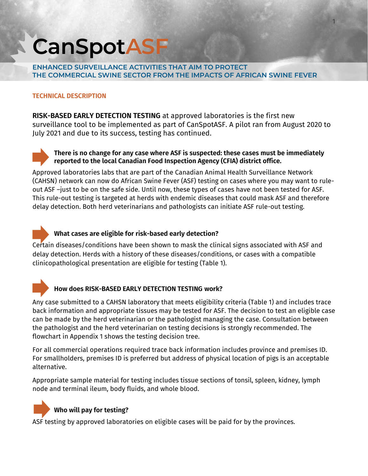# **CanSpotASF**

**ENHANCED SURVEILLANCE ACTIVITIES THAT AIM TO PROTECT THE COMMERCIAL SWINE SECTOR FROM THE IMPACTS OF AFRICAN SWINE FEVER**

## **TECHNICAL DESCRIPTION**

**RISK-BASED EARLY DETECTION TESTING** at approved laboratories is the first new surveillance tool to be implemented as part of CanSpotASF. A pilot ran from August 2020 to July 2021 and due to its success, testing has continued.



# **There is no change for any case where ASF is suspected: these cases must be immediately reported to the local Canadian Food Inspection Agency (CFIA) district office.**

Approved laboratories labs that are part of the Canadian Animal Health Surveillance Network (CAHSN) network can now do African Swine Fever (ASF) testing on cases where you may want to ruleout ASF –just to be on the safe side. Until now, these types of cases have not been tested for ASF. This rule-out testing is targeted at herds with endemic diseases that could mask ASF and therefore delay detection. Both herd veterinarians and pathologists can initiate ASF rule-out testing.

# **What cases are eligible for risk-based early detection?**

Certain diseases/conditions have been shown to mask the clinical signs associated with ASF and delay detection. Herds with a history of these diseases/conditions, or cases with a compatible clinicopathological presentation are eligible for testing (Table 1).



# **How does RISK-BASED EARLY DETECTION TESTING work?**

Any case submitted to a CAHSN laboratory that meets eligibility criteria (Table 1) and includes trace back information and appropriate tissues may be tested for ASF. The decision to test an eligible case can be made by the herd veterinarian or the pathologist managing the case. Consultation between the pathologist and the herd veterinarian on testing decisions is strongly recommended. The flowchart in Appendix 1 shows the testing decision tree.

For all commercial operations required trace back information includes province and premises ID. For smallholders, premises ID is preferred but address of physical location of pigs is an acceptable alternative.

Appropriate sample material for testing includes tissue sections of tonsil, spleen, kidney, lymph node and terminal ileum, body fluids, and whole blood.



# **Who will pay for testing?**

ASF testing by approved laboratories on eligible cases will be paid for by the provinces.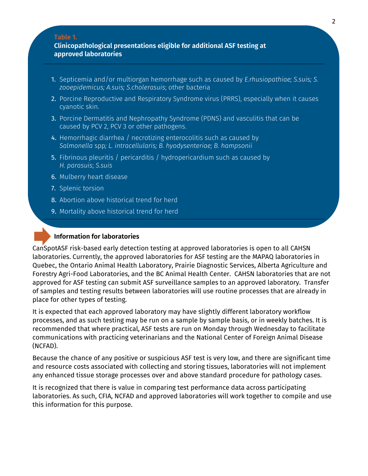#### **Table 1.**

#### **Clinicopathological presentations eligible for additional ASF testing at approved laboratories**

- 1. Septicemia and/or multiorgan hemorrhage such as caused by *E.rhusiopathiae; S.suis; S. zooepidemicus; A.suis; S.cholerasuis*; other bacteria
- 2. Porcine Reproductive and Respiratory Syndrome virus (PRRS), especially when it causes cyanotic skin.
- 3. Porcine Dermatitis and Nephropathy Syndrome (PDNS) and vasculitis that can be caused by PCV 2, PCV 3 or other pathogens.
- 4. Hemorrhagic diarrhea / necrotizing enterocolitis such as caused by *Salmonella* spp*; L. intracellularis; B. hyodysenteriae; B. hampsonii*
- 5. Fibrinous pleuritis / pericarditis / hydropericardium such as caused by *H. parasuis*; *S.suis*
- 6. Mulberry heart disease
- 7. Splenic torsion
- 8. Abortion above historical trend for herd
- 9. Mortality above historical trend for herd

#### **Information for laboratories**

CanSpotASF risk-based early detection testing at approved laboratories is open to all CAHSN laboratories. Currently, the approved laboratories for ASF testing are the MAPAQ laboratories in Quebec, the Ontario Animal Health Laboratory, Prairie Diagnostic Services, Alberta Agriculture and Forestry Agri-Food Laboratories, and the BC Animal Health Center. CAHSN laboratories that are not approved for ASF testing can submit ASF surveillance samples to an approved laboratory. Transfer of samples and testing results between laboratories will use routine processes that are already in place for other types of testing.

It is expected that each approved laboratory may have slightly different laboratory workflow processes, and as such testing may be run on a sample by sample basis, or in weekly batches. It is recommended that where practical, ASF tests are run on Monday through Wednesday to facilitate communications with practicing veterinarians and the National Center of Foreign Animal Disease (NCFAD).

Because the chance of any positive or suspicious ASF test is very low, and there are significant time and resource costs associated with collecting and storing tissues, laboratories will not implement any enhanced tissue storage processes over and above standard procedure for pathology cases.

It is recognized that there is value in comparing test performance data across participating laboratories. As such, CFIA, NCFAD and approved laboratories will work together to compile and use this information for this purpose.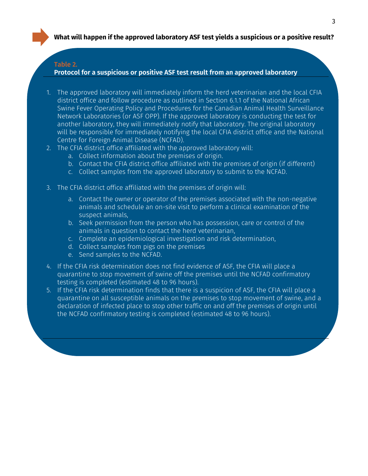#### **Table 2.**

**Protocol for a suspicious or positive ASF test result from an approved laboratory**

- 1. The approved laboratory will immediately inform the herd veterinarian and the local CFIA district office and follow procedure as outlined in Section 6.1.1 of the National African Swine Fever Operating Policy and Procedures for the Canadian Animal Health Surveillance Network Laboratories (or ASF OPP). If the approved laboratory is conducting the test for another laboratory, they will immediately notify that laboratory. The original laboratory will be responsible for immediately notifying the local CFIA district office and the National Centre for Foreign Animal Disease (NCFAD).
- 2. The CFIA district office affiliated with the approved laboratory will:
	- a. Collect information about the premises of origin.
	- b. Contact the CFIA district office affiliated with the premises of origin (if different)
	- c. Collect samples from the approved laboratory to submit to the NCFAD.
- 3. The CFIA district office affiliated with the premises of origin will:
	- a. Contact the owner or operator of the premises associated with the non-negative animals and schedule an on-site visit to perform a clinical examination of the suspect animals,
	- b. Seek permission from the person who has possession, care or control of the animals in question to contact the herd veterinarian,
	- c. Complete an epidemiological investigation and risk determination,
	- d. Collect samples from pigs on the premises
	- e. Send samples to the NCFAD.
- 4. If the CFIA risk determination does not find evidence of ASF, the CFIA will place a quarantine to stop movement of swine off the premises until the NCFAD confirmatory testing is completed (estimated 48 to 96 hours).
- 5. If the CFIA risk determination finds that there is a suspicion of ASF, the CFIA will place a quarantine on all susceptible animals on the premises to stop movement of swine, and a declaration of infected place to stop other traffic on and off the premises of origin until the NCFAD confirmatory testing is completed (estimated 48 to 96 hours).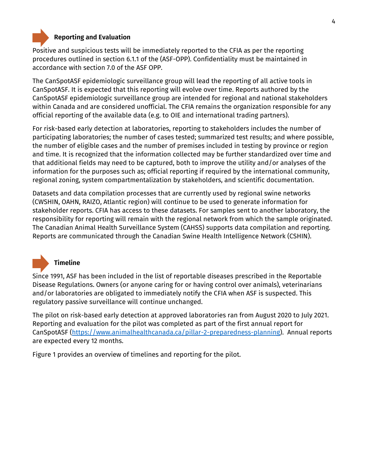

# **Reporting and Evaluation**

Positive and suspicious tests will be immediately reported to the CFIA as per the reporting procedures outlined in section 6.1.1 of the (ASF-OPP). Confidentiality must be maintained in accordance with section 7.0 of the ASF OPP.

The CanSpotASF epidemiologic surveillance group will lead the reporting of all active tools in CanSpotASF. It is expected that this reporting will evolve over time. Reports authored by the CanSpotASF epidemiologic surveillance group are intended for regional and national stakeholders within Canada and are considered unofficial. The CFIA remains the organization responsible for any official reporting of the available data (e.g. to OIE and international trading partners).

For risk-based early detection at laboratories, reporting to stakeholders includes the number of participating laboratories; the number of cases tested; summarized test results; and where possible, the number of eligible cases and the number of premises included in testing by province or region and time. It is recognized that the information collected may be further standardized over time and that additional fields may need to be captured, both to improve the utility and/or analyses of the information for the purposes such as; official reporting if required by the international community, regional zoning, system compartmentalization by stakeholders, and scientific documentation.

Datasets and data compilation processes that are currently used by regional swine networks (CWSHIN, OAHN, RAIZO, Atlantic region) will continue to be used to generate information for stakeholder reports. CFIA has access to these datasets. For samples sent to another laboratory, the responsibility for reporting will remain with the regional network from which the sample originated. The Canadian Animal Health Surveillance System (CAHSS) supports data compilation and reporting. Reports are communicated through the Canadian Swine Health Intelligence Network (CSHIN).



# **Timeline**

Since 1991, ASF has been included in the list of reportable diseases prescribed in the Reportable Disease Regulations. Owners (or anyone caring for or having control over animals), veterinarians and/or laboratories are obligated to immediately notify the CFIA when ASF is suspected. This regulatory passive surveillance will continue unchanged.

The pilot on risk-based early detection at approved laboratories ran from August 2020 to July 2021. Reporting and evaluation for the pilot was completed as part of the first annual report for CanSpotASF [\(https://www.animalhealthcanada.ca/pillar-2-preparedness-planning\)](https://www.animalhealthcanada.ca/pillar-2-preparedness-planning). Annual reports are expected every 12 months.

Figure 1 provides an overview of timelines and reporting for the pilot.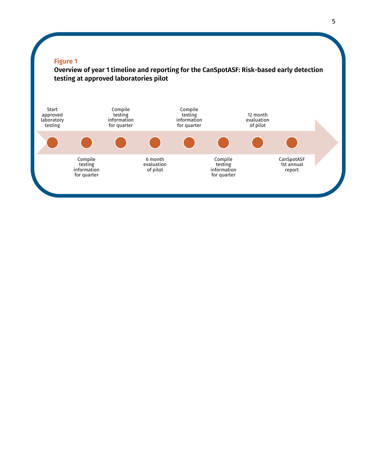#### **Figure 1**

**Overview of year 1 timeline and reporting for the CanSpotASF: Risk-based early detection testing at approved laboratories pilot**

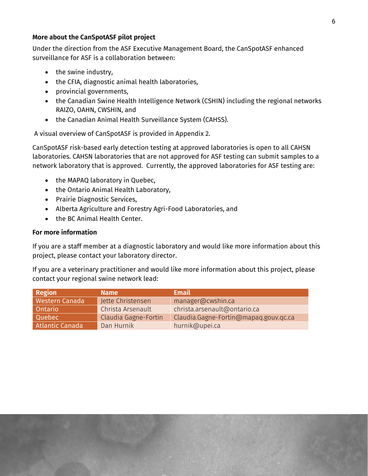#### **More about the CanSpotASF pilot project**

Under the direction from the ASF Executive Management Board, the CanSpotASF enhanced surveillance for ASF is a collaboration between:

- the swine industry.
- the CFIA, diagnostic animal health laboratories,
- provincial governments,
- the Canadian Swine Health Intelligence Network (CSHIN) including the regional networks RAIZO, OAHN, CWSHIN, and
- the Canadian Animal Health Surveillance System (CAHSS).

A visual overview of CanSpotASF is provided in Appendix 2.

CanSpotASF risk-based early detection testing at approved laboratories is open to all CAHSN laboratories. CAHSN laboratories that are not approved for ASF testing can submit samples to a network laboratory that is approved. Currently, the approved laboratories for ASF testing are:

- the MAPAQ laboratory in Quebec,
- the Ontario Animal Health Laboratory,
- Prairie Diagnostic Services,
- Alberta Agriculture and Forestry Agri-Food Laboratories, and
- the BC Animal Health Center.

#### **For more information**

If you are a staff member at a diagnostic laboratory and would like more information about this project, please contact your laboratory director.

If you are a veterinary practitioner and would like more information about this project, please contact your regional swine network lead:

| <b>Region</b>         | <b>Name</b>          | <b>Email</b>                          |
|-----------------------|----------------------|---------------------------------------|
| <b>Western Canada</b> | Jette Christensen    | manager@cwshin.ca                     |
| <b>Ontario</b>        | Christa Arsenault    | christa.arsenault@ontario.ca          |
| Quebec                | Claudia Gagne-Fortin | Claudia.Gagne-Fortin@mapaq.gouv.qc.ca |
| Atlantic Canada       | Dan Hurnik           | hurnik@upei.ca                        |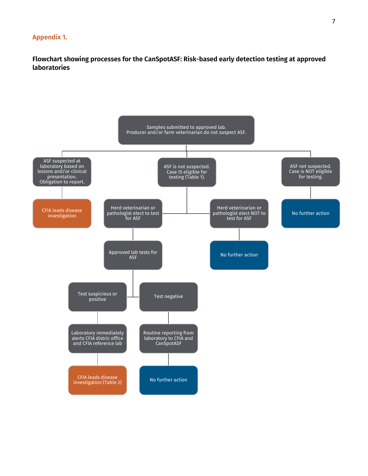#### **Appendix 1.**

**Flowchart showing processes for the CanSpotASF: Risk-based early detection testing at approved laboratories**